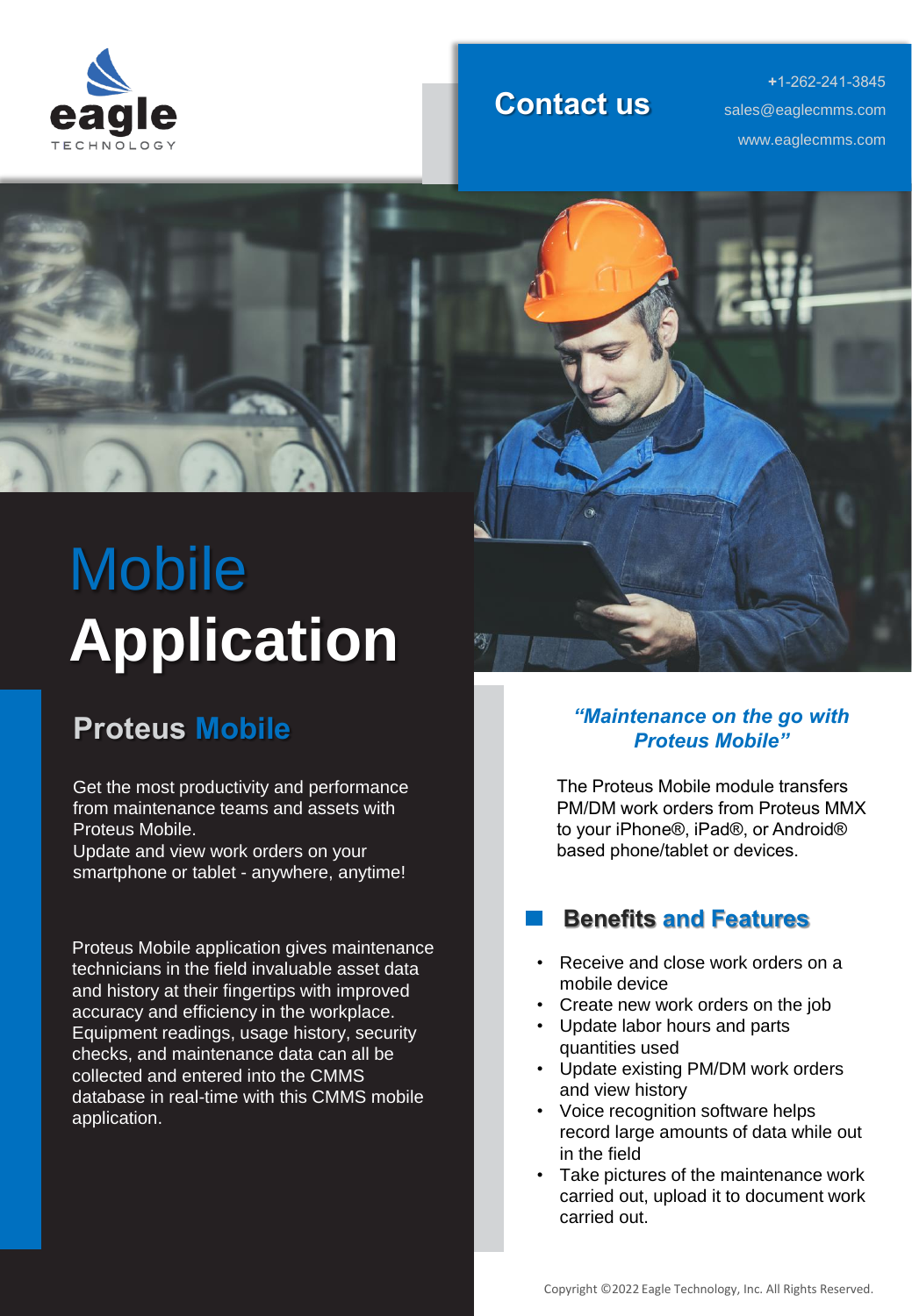

#### **Contact us**

**+**1-262-241-3845 www.eaglecmms.com sales@eaglecmms.com



## **Mobile Application**

### **Proteus Mobile**

Get the most productivity and performance from maintenance teams and assets with Proteus Mobile.

Update and view work orders on your smartphone or tablet - anywhere, anytime!

Proteus Mobile application gives maintenance technicians in the field invaluable asset data and history at their fingertips with improved accuracy and efficiency in the workplace. Equipment readings, usage history, security checks, and maintenance data can all be collected and entered into the CMMS database in real-time with this CMMS mobile application.



#### *"Maintenance on the go with Proteus Mobile"*

The Proteus Mobile module transfers PM/DM work orders from Proteus MMX to your iPhone®️, iPad®️, or Android®️ based phone/tablet or devices.

#### **Benefits and Features**

- Receive and close work orders on a mobile device
- Create new work orders on the job
- Update labor hours and parts quantities used
- Update existing PM/DM work orders and view history
- Voice recognition software helps record large amounts of data while out in the field
- Take pictures of the maintenance work carried out, upload it to document work carried out.